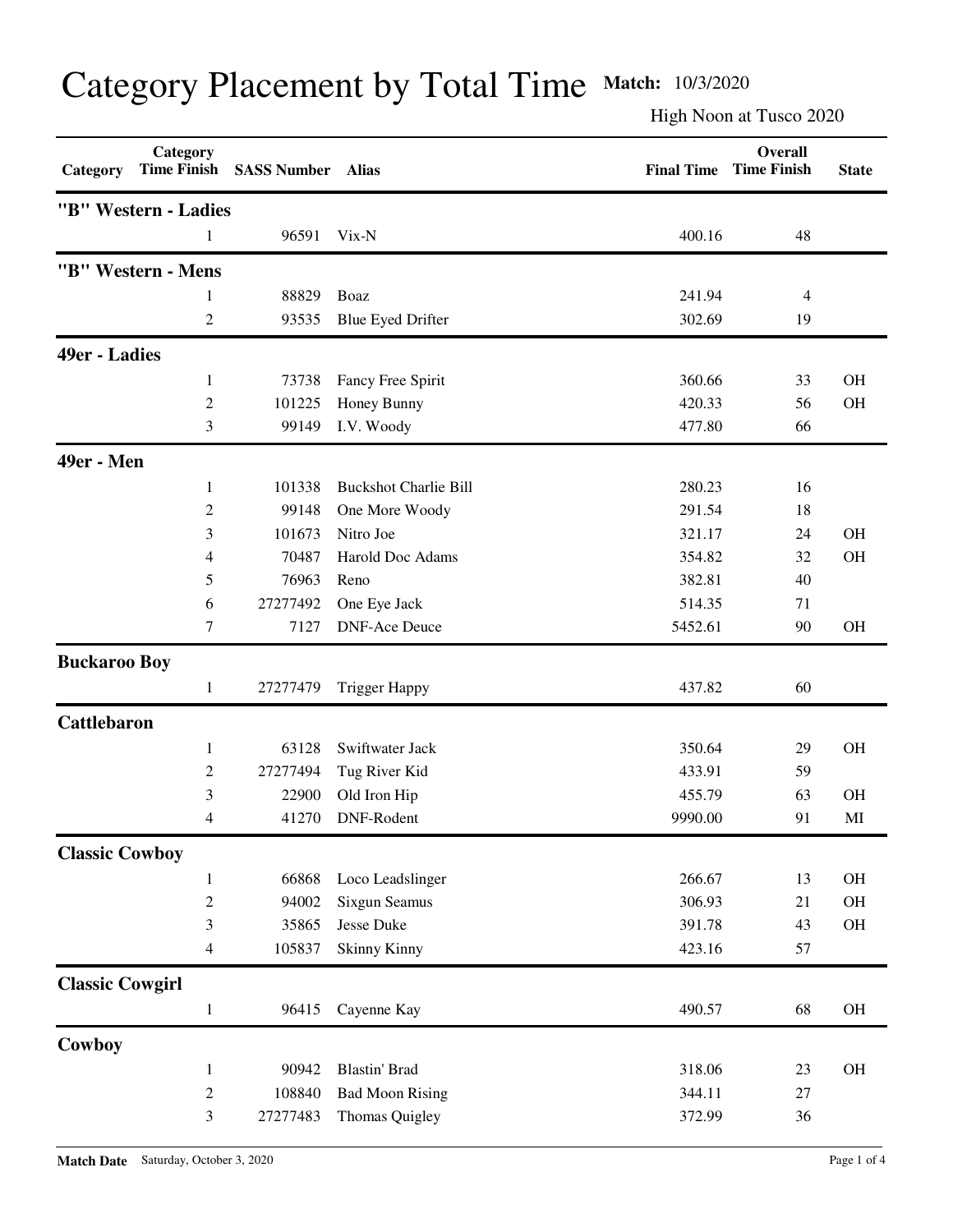## Category Placement by Total Time **Match:** 10/3/2020

High Noon at Tusco 2020

| "B" Western - Ladies<br>96591<br>Vix-N<br>400.16<br>48<br>"B" Western - Mens<br>88829<br>Boaz<br>241.94<br>$\overline{4}$<br>1<br>$\overline{c}$<br><b>Blue Eyed Drifter</b><br>302.69<br>93535<br>19<br>49er - Ladies<br>360.66<br><b>OH</b><br>73738<br>Fancy Free Spirit<br>33<br>1<br>$\overline{c}$<br>101225<br>420.33<br><b>OH</b><br>Honey Bunny<br>56<br>3<br>I.V. Woody<br>477.80<br>99149<br>66<br>49er - Men<br><b>Buckshot Charlie Bill</b><br>280.23<br>1<br>101338<br>16<br>$\overline{c}$<br>99148<br>291.54<br>18<br>One More Woody<br>3<br>101673<br>Nitro Joe<br>321.17<br><b>OH</b><br>24<br><b>OH</b><br>4<br>70487<br>Harold Doc Adams<br>354.82<br>32<br>5<br>76963<br>382.81<br>40<br>Reno<br>27277492<br>One Eye Jack<br>514.35<br>6<br>71<br>7127<br><b>DNF-Ace Deuce</b><br>5452.61<br><b>OH</b><br>7<br>90<br><b>Buckaroo Boy</b><br>27277479<br><b>Trigger Happy</b><br>437.82<br>60<br>1<br><b>Cattlebaron</b><br><b>OH</b><br>63128<br>Swiftwater Jack<br>350.64<br>29<br>1<br>$\overline{c}$<br>27277494<br>Tug River Kid<br>433.91<br>59<br>3<br>Old Iron Hip<br>455.79<br><b>OH</b><br>22900<br>63<br>DNF-Rodent<br>41270<br>9990.00<br>MI<br>4<br>91<br><b>Classic Cowboy</b><br>66868<br>266.67<br>OH<br>Loco Leadslinger<br>13<br>$\mathbf{1}$<br>$\overline{c}$<br>94002<br>Sixgun Seamus<br>306.93<br>21<br>OH<br>$\mathfrak{Z}$<br>35865<br>Jesse Duke<br>391.78<br>OH<br>43<br>105837<br><b>Skinny Kinny</b><br>423.16<br>4<br>57<br><b>Classic Cowgirl</b><br>OH<br>96415<br>Cayenne Kay<br>490.57<br>68<br>$\mathbf{1}$<br>Cowboy<br>90942<br><b>Blastin' Brad</b><br>318.06<br>OH<br>23<br>$\mathbf{1}$<br>$\sqrt{2}$<br>108840<br><b>Bad Moon Rising</b><br>344.11<br>27<br>3<br>27277483<br>372.99<br>36 | Category | Category | Time Finish SASS Number | <b>Alias</b>   | <b>Final Time</b> | Overall<br><b>Time Finish</b> | <b>State</b> |
|--------------------------------------------------------------------------------------------------------------------------------------------------------------------------------------------------------------------------------------------------------------------------------------------------------------------------------------------------------------------------------------------------------------------------------------------------------------------------------------------------------------------------------------------------------------------------------------------------------------------------------------------------------------------------------------------------------------------------------------------------------------------------------------------------------------------------------------------------------------------------------------------------------------------------------------------------------------------------------------------------------------------------------------------------------------------------------------------------------------------------------------------------------------------------------------------------------------------------------------------------------------------------------------------------------------------------------------------------------------------------------------------------------------------------------------------------------------------------------------------------------------------------------------------------------------------------------------------------------------------------------------------------------------------------------------------------------------------------------------------------------|----------|----------|-------------------------|----------------|-------------------|-------------------------------|--------------|
|                                                                                                                                                                                                                                                                                                                                                                                                                                                                                                                                                                                                                                                                                                                                                                                                                                                                                                                                                                                                                                                                                                                                                                                                                                                                                                                                                                                                                                                                                                                                                                                                                                                                                                                                                        |          |          |                         |                |                   |                               |              |
|                                                                                                                                                                                                                                                                                                                                                                                                                                                                                                                                                                                                                                                                                                                                                                                                                                                                                                                                                                                                                                                                                                                                                                                                                                                                                                                                                                                                                                                                                                                                                                                                                                                                                                                                                        |          |          |                         |                |                   |                               |              |
|                                                                                                                                                                                                                                                                                                                                                                                                                                                                                                                                                                                                                                                                                                                                                                                                                                                                                                                                                                                                                                                                                                                                                                                                                                                                                                                                                                                                                                                                                                                                                                                                                                                                                                                                                        |          |          |                         |                |                   |                               |              |
|                                                                                                                                                                                                                                                                                                                                                                                                                                                                                                                                                                                                                                                                                                                                                                                                                                                                                                                                                                                                                                                                                                                                                                                                                                                                                                                                                                                                                                                                                                                                                                                                                                                                                                                                                        |          |          |                         |                |                   |                               |              |
|                                                                                                                                                                                                                                                                                                                                                                                                                                                                                                                                                                                                                                                                                                                                                                                                                                                                                                                                                                                                                                                                                                                                                                                                                                                                                                                                                                                                                                                                                                                                                                                                                                                                                                                                                        |          |          |                         |                |                   |                               |              |
|                                                                                                                                                                                                                                                                                                                                                                                                                                                                                                                                                                                                                                                                                                                                                                                                                                                                                                                                                                                                                                                                                                                                                                                                                                                                                                                                                                                                                                                                                                                                                                                                                                                                                                                                                        |          |          |                         |                |                   |                               |              |
|                                                                                                                                                                                                                                                                                                                                                                                                                                                                                                                                                                                                                                                                                                                                                                                                                                                                                                                                                                                                                                                                                                                                                                                                                                                                                                                                                                                                                                                                                                                                                                                                                                                                                                                                                        |          |          |                         |                |                   |                               |              |
|                                                                                                                                                                                                                                                                                                                                                                                                                                                                                                                                                                                                                                                                                                                                                                                                                                                                                                                                                                                                                                                                                                                                                                                                                                                                                                                                                                                                                                                                                                                                                                                                                                                                                                                                                        |          |          |                         |                |                   |                               |              |
|                                                                                                                                                                                                                                                                                                                                                                                                                                                                                                                                                                                                                                                                                                                                                                                                                                                                                                                                                                                                                                                                                                                                                                                                                                                                                                                                                                                                                                                                                                                                                                                                                                                                                                                                                        |          |          |                         |                |                   |                               |              |
|                                                                                                                                                                                                                                                                                                                                                                                                                                                                                                                                                                                                                                                                                                                                                                                                                                                                                                                                                                                                                                                                                                                                                                                                                                                                                                                                                                                                                                                                                                                                                                                                                                                                                                                                                        |          |          |                         |                |                   |                               |              |
|                                                                                                                                                                                                                                                                                                                                                                                                                                                                                                                                                                                                                                                                                                                                                                                                                                                                                                                                                                                                                                                                                                                                                                                                                                                                                                                                                                                                                                                                                                                                                                                                                                                                                                                                                        |          |          |                         |                |                   |                               |              |
|                                                                                                                                                                                                                                                                                                                                                                                                                                                                                                                                                                                                                                                                                                                                                                                                                                                                                                                                                                                                                                                                                                                                                                                                                                                                                                                                                                                                                                                                                                                                                                                                                                                                                                                                                        |          |          |                         |                |                   |                               |              |
|                                                                                                                                                                                                                                                                                                                                                                                                                                                                                                                                                                                                                                                                                                                                                                                                                                                                                                                                                                                                                                                                                                                                                                                                                                                                                                                                                                                                                                                                                                                                                                                                                                                                                                                                                        |          |          |                         |                |                   |                               |              |
|                                                                                                                                                                                                                                                                                                                                                                                                                                                                                                                                                                                                                                                                                                                                                                                                                                                                                                                                                                                                                                                                                                                                                                                                                                                                                                                                                                                                                                                                                                                                                                                                                                                                                                                                                        |          |          |                         |                |                   |                               |              |
|                                                                                                                                                                                                                                                                                                                                                                                                                                                                                                                                                                                                                                                                                                                                                                                                                                                                                                                                                                                                                                                                                                                                                                                                                                                                                                                                                                                                                                                                                                                                                                                                                                                                                                                                                        |          |          |                         |                |                   |                               |              |
|                                                                                                                                                                                                                                                                                                                                                                                                                                                                                                                                                                                                                                                                                                                                                                                                                                                                                                                                                                                                                                                                                                                                                                                                                                                                                                                                                                                                                                                                                                                                                                                                                                                                                                                                                        |          |          |                         |                |                   |                               |              |
|                                                                                                                                                                                                                                                                                                                                                                                                                                                                                                                                                                                                                                                                                                                                                                                                                                                                                                                                                                                                                                                                                                                                                                                                                                                                                                                                                                                                                                                                                                                                                                                                                                                                                                                                                        |          |          |                         |                |                   |                               |              |
|                                                                                                                                                                                                                                                                                                                                                                                                                                                                                                                                                                                                                                                                                                                                                                                                                                                                                                                                                                                                                                                                                                                                                                                                                                                                                                                                                                                                                                                                                                                                                                                                                                                                                                                                                        |          |          |                         |                |                   |                               |              |
|                                                                                                                                                                                                                                                                                                                                                                                                                                                                                                                                                                                                                                                                                                                                                                                                                                                                                                                                                                                                                                                                                                                                                                                                                                                                                                                                                                                                                                                                                                                                                                                                                                                                                                                                                        |          |          |                         |                |                   |                               |              |
|                                                                                                                                                                                                                                                                                                                                                                                                                                                                                                                                                                                                                                                                                                                                                                                                                                                                                                                                                                                                                                                                                                                                                                                                                                                                                                                                                                                                                                                                                                                                                                                                                                                                                                                                                        |          |          |                         |                |                   |                               |              |
|                                                                                                                                                                                                                                                                                                                                                                                                                                                                                                                                                                                                                                                                                                                                                                                                                                                                                                                                                                                                                                                                                                                                                                                                                                                                                                                                                                                                                                                                                                                                                                                                                                                                                                                                                        |          |          |                         |                |                   |                               |              |
|                                                                                                                                                                                                                                                                                                                                                                                                                                                                                                                                                                                                                                                                                                                                                                                                                                                                                                                                                                                                                                                                                                                                                                                                                                                                                                                                                                                                                                                                                                                                                                                                                                                                                                                                                        |          |          |                         |                |                   |                               |              |
|                                                                                                                                                                                                                                                                                                                                                                                                                                                                                                                                                                                                                                                                                                                                                                                                                                                                                                                                                                                                                                                                                                                                                                                                                                                                                                                                                                                                                                                                                                                                                                                                                                                                                                                                                        |          |          |                         |                |                   |                               |              |
|                                                                                                                                                                                                                                                                                                                                                                                                                                                                                                                                                                                                                                                                                                                                                                                                                                                                                                                                                                                                                                                                                                                                                                                                                                                                                                                                                                                                                                                                                                                                                                                                                                                                                                                                                        |          |          |                         |                |                   |                               |              |
|                                                                                                                                                                                                                                                                                                                                                                                                                                                                                                                                                                                                                                                                                                                                                                                                                                                                                                                                                                                                                                                                                                                                                                                                                                                                                                                                                                                                                                                                                                                                                                                                                                                                                                                                                        |          |          |                         |                |                   |                               |              |
|                                                                                                                                                                                                                                                                                                                                                                                                                                                                                                                                                                                                                                                                                                                                                                                                                                                                                                                                                                                                                                                                                                                                                                                                                                                                                                                                                                                                                                                                                                                                                                                                                                                                                                                                                        |          |          |                         |                |                   |                               |              |
|                                                                                                                                                                                                                                                                                                                                                                                                                                                                                                                                                                                                                                                                                                                                                                                                                                                                                                                                                                                                                                                                                                                                                                                                                                                                                                                                                                                                                                                                                                                                                                                                                                                                                                                                                        |          |          |                         |                |                   |                               |              |
|                                                                                                                                                                                                                                                                                                                                                                                                                                                                                                                                                                                                                                                                                                                                                                                                                                                                                                                                                                                                                                                                                                                                                                                                                                                                                                                                                                                                                                                                                                                                                                                                                                                                                                                                                        |          |          |                         |                |                   |                               |              |
|                                                                                                                                                                                                                                                                                                                                                                                                                                                                                                                                                                                                                                                                                                                                                                                                                                                                                                                                                                                                                                                                                                                                                                                                                                                                                                                                                                                                                                                                                                                                                                                                                                                                                                                                                        |          |          |                         |                |                   |                               |              |
|                                                                                                                                                                                                                                                                                                                                                                                                                                                                                                                                                                                                                                                                                                                                                                                                                                                                                                                                                                                                                                                                                                                                                                                                                                                                                                                                                                                                                                                                                                                                                                                                                                                                                                                                                        |          |          |                         |                |                   |                               |              |
|                                                                                                                                                                                                                                                                                                                                                                                                                                                                                                                                                                                                                                                                                                                                                                                                                                                                                                                                                                                                                                                                                                                                                                                                                                                                                                                                                                                                                                                                                                                                                                                                                                                                                                                                                        |          |          |                         |                |                   |                               |              |
|                                                                                                                                                                                                                                                                                                                                                                                                                                                                                                                                                                                                                                                                                                                                                                                                                                                                                                                                                                                                                                                                                                                                                                                                                                                                                                                                                                                                                                                                                                                                                                                                                                                                                                                                                        |          |          |                         |                |                   |                               |              |
|                                                                                                                                                                                                                                                                                                                                                                                                                                                                                                                                                                                                                                                                                                                                                                                                                                                                                                                                                                                                                                                                                                                                                                                                                                                                                                                                                                                                                                                                                                                                                                                                                                                                                                                                                        |          |          |                         |                |                   |                               |              |
|                                                                                                                                                                                                                                                                                                                                                                                                                                                                                                                                                                                                                                                                                                                                                                                                                                                                                                                                                                                                                                                                                                                                                                                                                                                                                                                                                                                                                                                                                                                                                                                                                                                                                                                                                        |          |          |                         |                |                   |                               |              |
|                                                                                                                                                                                                                                                                                                                                                                                                                                                                                                                                                                                                                                                                                                                                                                                                                                                                                                                                                                                                                                                                                                                                                                                                                                                                                                                                                                                                                                                                                                                                                                                                                                                                                                                                                        |          |          |                         | Thomas Quigley |                   |                               |              |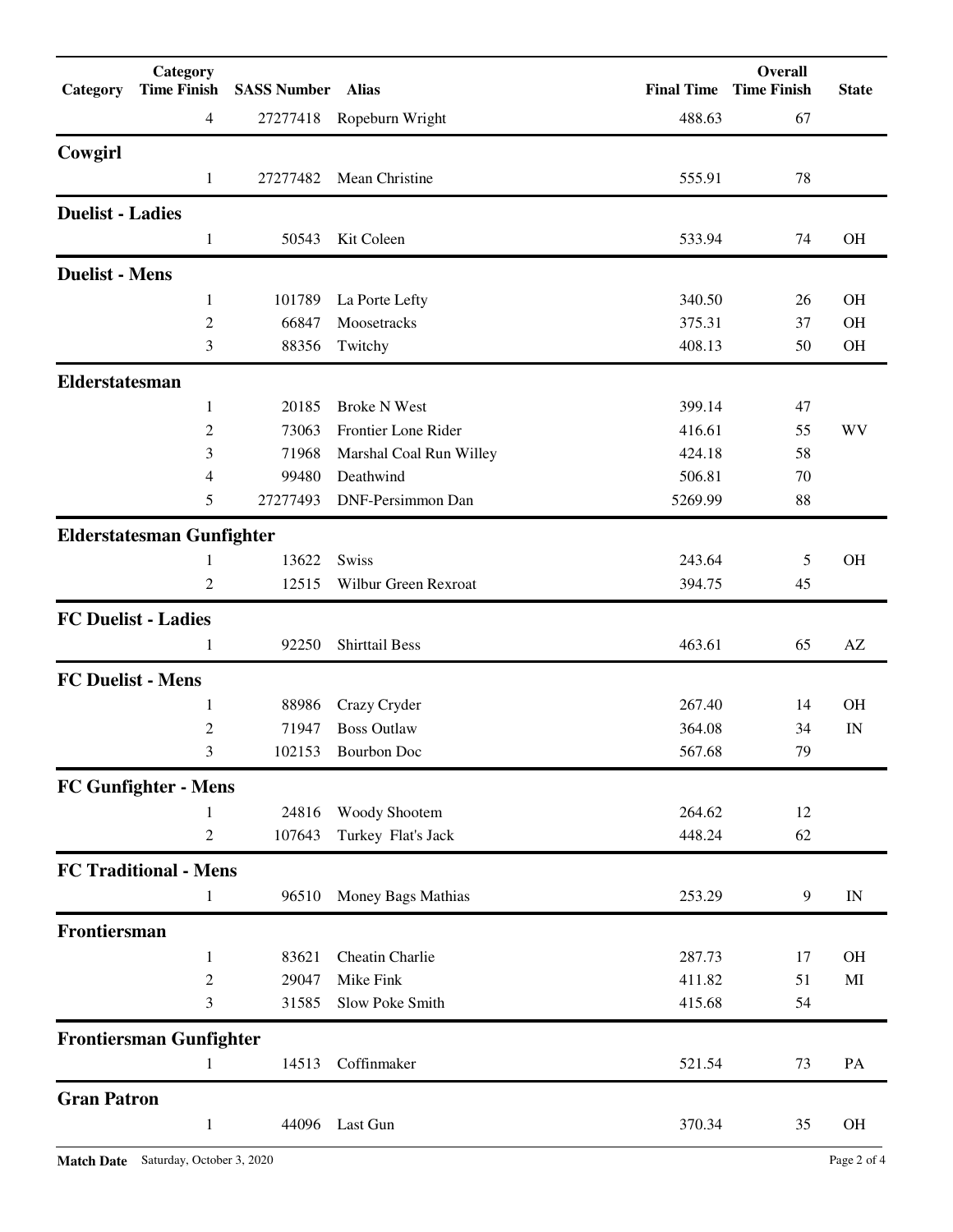| Category                 | Category<br><b>Time Finish</b>                               | <b>SASS Number</b> Alias |                          | <b>Final Time</b> | Overall<br><b>Time Finish</b> | <b>State</b> |
|--------------------------|--------------------------------------------------------------|--------------------------|--------------------------|-------------------|-------------------------------|--------------|
|                          | $\overline{4}$                                               |                          | 27277418 Ropeburn Wright | 488.63            | 67                            |              |
| Cowgirl                  |                                                              |                          |                          |                   |                               |              |
|                          | 1                                                            | 27277482                 | Mean Christine           | 555.91            | 78                            |              |
| <b>Duelist - Ladies</b>  |                                                              |                          |                          |                   |                               |              |
|                          | $\mathbf{1}$                                                 | 50543                    | Kit Coleen               | 533.94            | 74                            | OH           |
| <b>Duelist - Mens</b>    |                                                              |                          |                          |                   |                               |              |
|                          | 1                                                            | 101789                   | La Porte Lefty           | 340.50            | 26                            | <b>OH</b>    |
|                          | $\overline{c}$                                               | 66847                    | Moosetracks              | 375.31            | 37                            | <b>OH</b>    |
|                          | 3                                                            | 88356                    | Twitchy                  | 408.13            | 50                            | OH           |
| Elderstatesman           |                                                              |                          |                          |                   |                               |              |
|                          | $\mathbf{1}$                                                 | 20185                    | <b>Broke N West</b>      | 399.14            | 47                            |              |
|                          | $\overline{c}$                                               | 73063                    | Frontier Lone Rider      | 416.61            | 55                            | WV           |
|                          | 3                                                            | 71968                    | Marshal Coal Run Willey  | 424.18            | 58                            |              |
|                          | 4                                                            | 99480                    | Deathwind                | 506.81            | 70                            |              |
|                          | 5                                                            | 27277493                 | DNF-Persimmon Dan        | 5269.99           | 88                            |              |
|                          | <b>Elderstatesman Gunfighter</b>                             |                          |                          |                   |                               |              |
|                          | 1                                                            | 13622                    | Swiss                    | 243.64            | 5                             | <b>OH</b>    |
|                          | 2                                                            | 12515                    | Wilbur Green Rexroat     | 394.75            | 45                            |              |
|                          | <b>FC Duelist - Ladies</b>                                   |                          |                          |                   |                               |              |
|                          | 1                                                            | 92250                    | <b>Shirttail Bess</b>    | 463.61            | 65                            | AZ           |
| <b>FC Duelist - Mens</b> |                                                              |                          |                          |                   |                               |              |
|                          | 1                                                            | 88986                    | Crazy Cryder             | 267.40            | 14                            | <b>OH</b>    |
|                          | 2                                                            | 71947                    | <b>Boss Outlaw</b>       | 364.08            | 34                            | IN           |
|                          | 3                                                            |                          | 102153 Bourbon Doc       | 567.68            | 79                            |              |
|                          | <b>FC Gunfighter - Mens</b>                                  |                          |                          |                   |                               |              |
|                          | 1                                                            | 24816                    | Woody Shootem            | 264.62            | 12                            |              |
|                          | $\mathbf{2}$                                                 | 107643                   | Turkey Flat's Jack       | 448.24            | 62                            |              |
|                          | <b>FC Traditional - Mens</b>                                 |                          |                          |                   |                               |              |
|                          | 1                                                            | 96510                    | Money Bags Mathias       | 253.29            | 9                             | IN           |
| Frontiersman             |                                                              |                          |                          |                   |                               |              |
|                          | 1                                                            | 83621                    | Cheatin Charlie          | 287.73            | 17                            | OH           |
|                          | $\mathfrak{2}% =\mathfrak{2}\left( \mathfrak{2}\right) ^{2}$ | 29047                    | Mike Fink                | 411.82            | 51                            | MI           |
|                          | 3                                                            | 31585                    | Slow Poke Smith          | 415.68            | 54                            |              |
|                          | <b>Frontiersman Gunfighter</b>                               |                          |                          |                   |                               |              |
|                          | 1                                                            | 14513                    | Coffinmaker              | 521.54            | 73                            | PA           |
| <b>Gran Patron</b>       |                                                              |                          |                          |                   |                               |              |
|                          | $\mathbf{1}$                                                 | 44096                    | Last Gun                 | 370.34            | 35                            | OH           |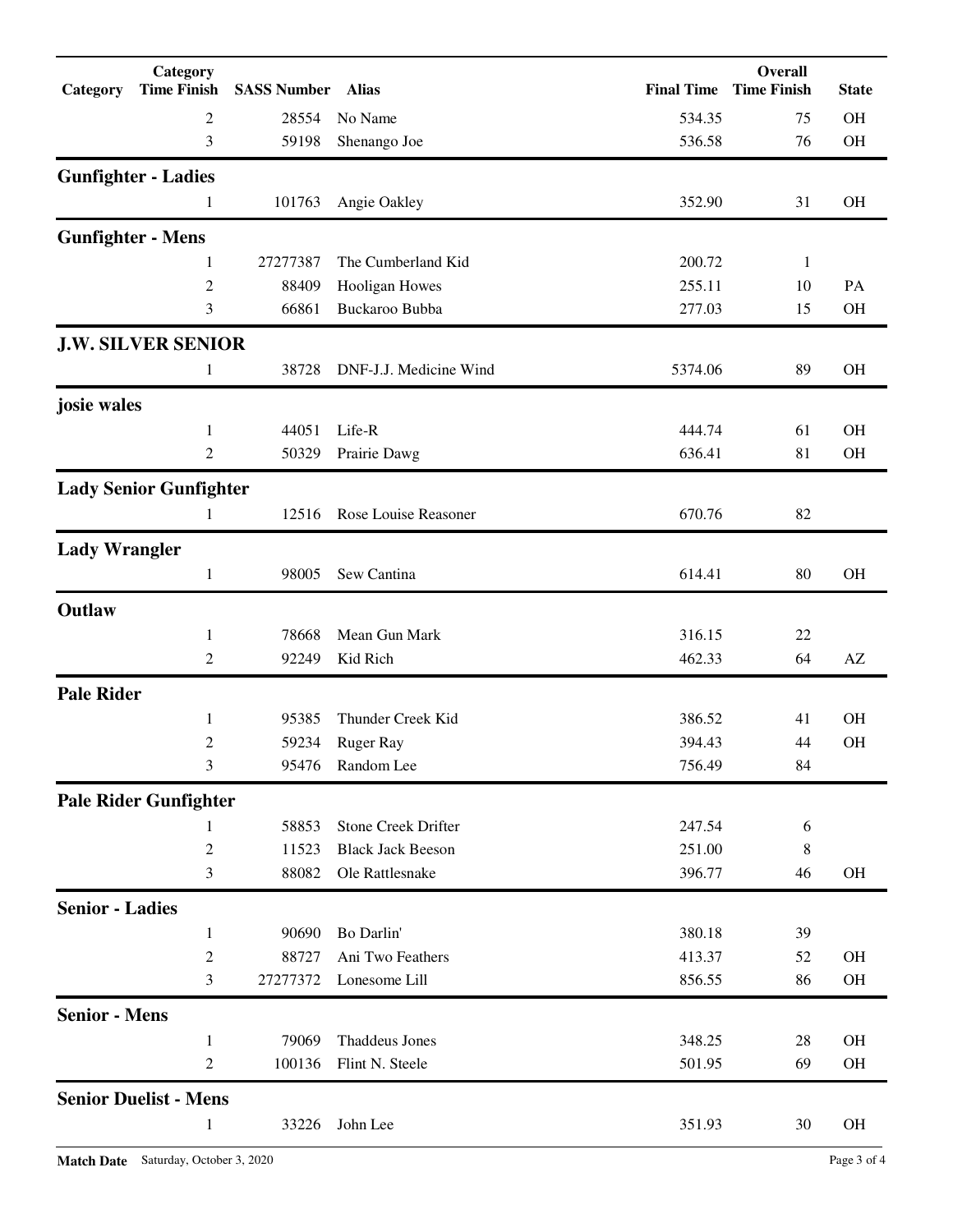| Category                 | Category<br><b>Time Finish</b> | <b>SASS Number Alias</b> |                          |         | Overall<br><b>Final Time Time Finish</b> | <b>State</b>           |
|--------------------------|--------------------------------|--------------------------|--------------------------|---------|------------------------------------------|------------------------|
|                          | 2                              | 28554                    | No Name                  | 534.35  | 75                                       | <b>OH</b>              |
|                          | 3                              | 59198                    | Shenango Joe             | 536.58  | 76                                       | OH                     |
|                          | <b>Gunfighter - Ladies</b>     |                          |                          |         |                                          |                        |
|                          | 1                              | 101763                   | Angie Oakley             | 352.90  | 31                                       | <b>OH</b>              |
| <b>Gunfighter - Mens</b> |                                |                          |                          |         |                                          |                        |
|                          | 1                              | 27277387                 | The Cumberland Kid       | 200.72  | $\mathbf{1}$                             |                        |
|                          | $\boldsymbol{2}$               | 88409                    | Hooligan Howes           | 255.11  | 10                                       | PA                     |
|                          | 3                              | 66861                    | Buckaroo Bubba           | 277.03  | 15                                       | <b>OH</b>              |
|                          | <b>J.W. SILVER SENIOR</b>      |                          |                          |         |                                          |                        |
|                          | 1                              | 38728                    | DNF-J.J. Medicine Wind   | 5374.06 | 89                                       | <b>OH</b>              |
| josie wales              |                                |                          |                          |         |                                          |                        |
|                          | 1                              | 44051                    | Life-R                   | 444.74  | 61                                       | <b>OH</b>              |
|                          | 2                              | 50329                    | Prairie Dawg             | 636.41  | 81                                       | OH                     |
|                          | <b>Lady Senior Gunfighter</b>  |                          |                          |         |                                          |                        |
|                          | 1                              | 12516                    | Rose Louise Reasoner     | 670.76  | 82                                       |                        |
| <b>Lady Wrangler</b>     |                                |                          |                          |         |                                          |                        |
|                          | $\mathbf{1}$                   | 98005                    | Sew Cantina              | 614.41  | 80                                       | <b>OH</b>              |
| Outlaw                   |                                |                          |                          |         |                                          |                        |
|                          | 1                              | 78668                    | Mean Gun Mark            | 316.15  | 22                                       |                        |
|                          | 2                              | 92249                    | Kid Rich                 | 462.33  | 64                                       | $\mathbf{A}\mathbf{Z}$ |
| <b>Pale Rider</b>        |                                |                          |                          |         |                                          |                        |
|                          | 1                              | 95385                    | Thunder Creek Kid        | 386.52  | 41                                       | <b>OH</b>              |
|                          | $\mathfrak{2}$                 | 59234                    | <b>Ruger Ray</b>         | 394.43  | 44                                       | <b>OH</b>              |
|                          | 3                              | 95476                    | Random Lee               | 756.49  | 84                                       |                        |
|                          | <b>Pale Rider Gunfighter</b>   |                          |                          |         |                                          |                        |
|                          | 1                              | 58853                    | Stone Creek Drifter      | 247.54  | 6                                        |                        |
|                          | $\sqrt{2}$                     | 11523                    | <b>Black Jack Beeson</b> | 251.00  | 8                                        |                        |
|                          | 3                              | 88082                    | Ole Rattlesnake          | 396.77  | 46                                       | OH                     |
| <b>Senior - Ladies</b>   |                                |                          |                          |         |                                          |                        |
|                          | $\mathbf{1}$                   | 90690                    | Bo Darlin'               | 380.18  | 39                                       |                        |
|                          | $\boldsymbol{2}$               | 88727                    | Ani Two Feathers         | 413.37  | 52                                       | OH                     |
|                          | 3                              | 27277372                 | Lonesome Lill            | 856.55  | 86                                       | OH                     |
| <b>Senior - Mens</b>     |                                |                          |                          |         |                                          |                        |
|                          | $\mathbf{1}$                   | 79069                    | <b>Thaddeus Jones</b>    | 348.25  | 28                                       | <b>OH</b>              |
|                          | 2                              | 100136                   | Flint N. Steele          | 501.95  | 69                                       | OH                     |
|                          | <b>Senior Duelist - Mens</b>   |                          |                          |         |                                          |                        |
|                          | $\mathbf{1}$                   | 33226                    | John Lee                 | 351.93  | 30                                       | <b>OH</b>              |